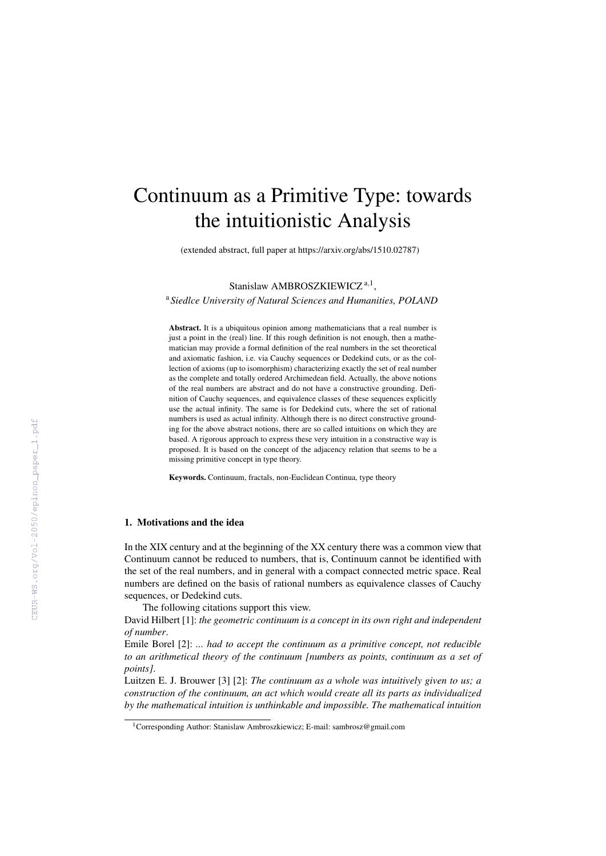# Continuum as a Primitive Type: towards the intuitionistic Analysis

(extended abstract, full paper at https://arxiv.org/abs/1510.02787)

Stanislaw AMBROSZKIEWICZ<sup>a,1</sup>, <sup>a</sup> *Siedlce University of Natural Sciences and Humanities, POLAND*

Abstract. It is a ubiquitous opinion among mathematicians that a real number is just a point in the (real) line. If this rough definition is not enough, then a mathematician may provide a formal definition of the real numbers in the set theoretical and axiomatic fashion, i.e. via Cauchy sequences or Dedekind cuts, or as the collection of axioms (up to isomorphism) characterizing exactly the set of real number as the complete and totally ordered Archimedean field. Actually, the above notions of the real numbers are abstract and do not have a constructive grounding. Definition of Cauchy sequences, and equivalence classes of these sequences explicitly use the actual infinity. The same is for Dedekind cuts, where the set of rational numbers is used as actual infinity. Although there is no direct constructive grounding for the above abstract notions, there are so called intuitions on which they are based. A rigorous approach to express these very intuition in a constructive way is proposed. It is based on the concept of the adjacency relation that seems to be a missing primitive concept in type theory.

Keywords. Continuum, fractals, non-Euclidean Continua, type theory

## 1. Motivations and the idea

In the XIX century and at the beginning of the XX century there was a common view that Continuum cannot be reduced to numbers, that is, Continuum cannot be identified with the set of the real numbers, and in general with a compact connected metric space. Real numbers are defined on the basis of rational numbers as equivalence classes of Cauchy sequences, or Dedekind cuts.

The following citations support this view.

David Hilbert [1]: *the geometric continuum is a concept in its own right and independent of number*.

Emile Borel [2]: *... had to accept the continuum as a primitive concept, not reducible to an arithmetical theory of the continuum [numbers as points, continuum as a set of points]*.

Luitzen E. J. Brouwer [3] [2]: *The continuum as a whole was intuitively given to us; a construction of the continuum, an act which would create all its parts as individualized by the mathematical intuition is unthinkable and impossible. The mathematical intuition*

<sup>&</sup>lt;sup>1</sup>Corresponding Author: Stanislaw Ambroszkiewicz; E-mail: sambrosz@gmail.com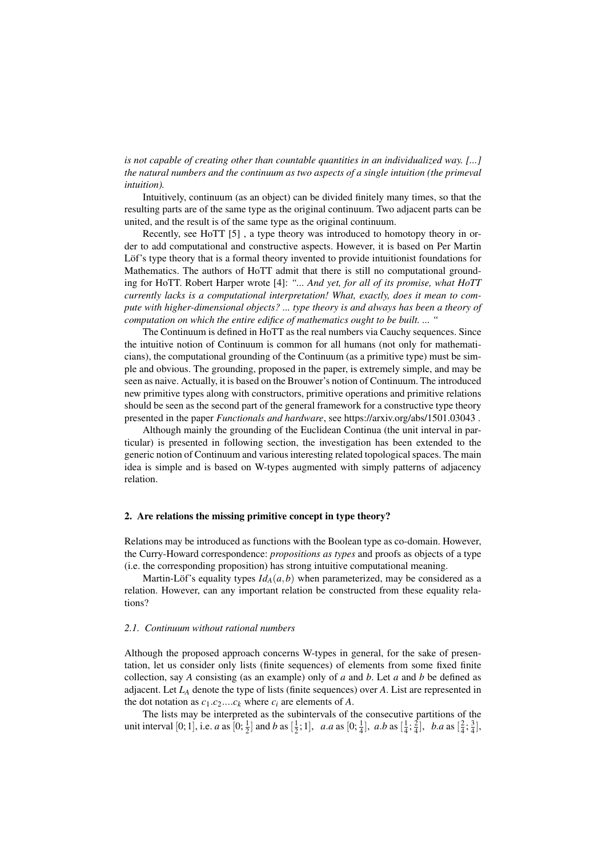*is not capable of creating other than countable quantities in an individualized way. [...] the natural numbers and the continuum as two aspects of a single intuition (the primeval intuition).*

Intuitively, continuum (as an object) can be divided finitely many times, so that the resulting parts are of the same type as the original continuum. Two adjacent parts can be united, and the result is of the same type as the original continuum.

Recently, see HoTT [5] , a type theory was introduced to homotopy theory in order to add computational and constructive aspects. However, it is based on Per Martin Löf's type theory that is a formal theory invented to provide intuitionist foundations for Mathematics. The authors of HoTT admit that there is still no computational grounding for HoTT. Robert Harper wrote [4]: *"... And yet, for all of its promise, what HoTT currently lacks is a computational interpretation! What, exactly, does it mean to compute with higher-dimensional objects? ... type theory is and always has been a theory of computation on which the entire edifice of mathematics ought to be built. ... "*

The Continuum is defined in HoTT as the real numbers via Cauchy sequences. Since the intuitive notion of Continuum is common for all humans (not only for mathematicians), the computational grounding of the Continuum (as a primitive type) must be simple and obvious. The grounding, proposed in the paper, is extremely simple, and may be seen as naive. Actually, it is based on the Brouwer's notion of Continuum. The introduced new primitive types along with constructors, primitive operations and primitive relations should be seen as the second part of the general framework for a constructive type theory presented in the paper *Functionals and hardware*, see https://arxiv.org/abs/1501.03043 .

Although mainly the grounding of the Euclidean Continua (the unit interval in particular) is presented in following section, the investigation has been extended to the generic notion of Continuum and various interesting related topological spaces. The main idea is simple and is based on W-types augmented with simply patterns of adjacency relation.

### 2. Are relations the missing primitive concept in type theory?

Relations may be introduced as functions with the Boolean type as co-domain. However, the Curry-Howard correspondence: *propositions as types* and proofs as objects of a type (i.e. the corresponding proposition) has strong intuitive computational meaning.

Martin-Löf's equality types  $I d_A(a, b)$  when parameterized, may be considered as a relation. However, can any important relation be constructed from these equality relations?

#### *2.1. Continuum without rational numbers*

Although the proposed approach concerns W-types in general, for the sake of presentation, let us consider only lists (finite sequences) of elements from some fixed finite collection, say *A* consisting (as an example) only of *a* and *b*. Let *a* and *b* be defined as adjacent. Let  $L_A$  denote the type of lists (finite sequences) over  $A$ . List are represented in the dot notation as  $c_1.c_2...c_k$  where  $c_i$  are elements of *A*.

The lists may be interpreted as the subintervals of the consecutive partitions of the unit interval [0; 1], i.e. *a* as  $[0; \frac{1}{2}]$  and *b* as  $[\frac{1}{2}; 1]$ , *a.a* as  $[0; \frac{1}{4}]$ , *a.b* as  $[\frac{1}{4}; \frac{2}{4}]$ , *b.a* as  $[\frac{2}{4}; \frac{3}{4}]$ ,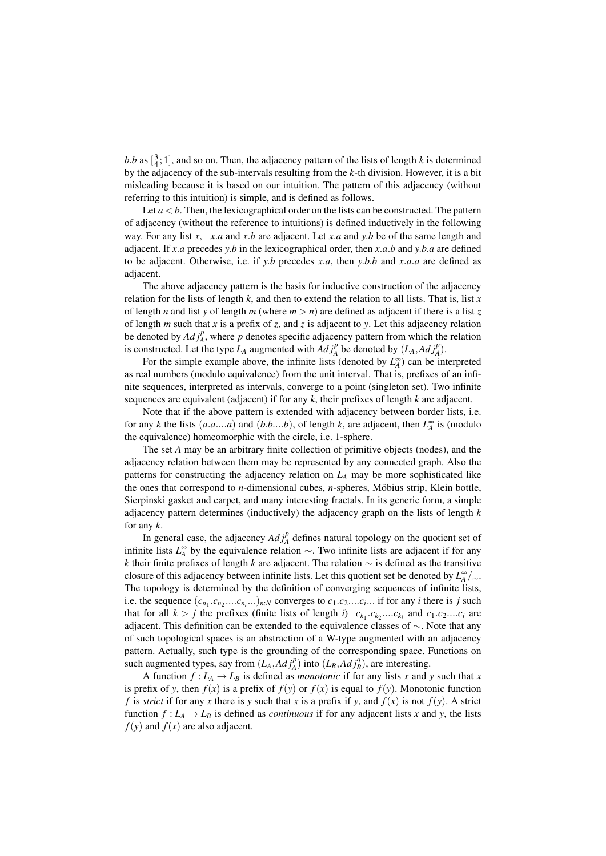*b.b* as  $\left[\frac{3}{4}, 1\right]$ , and so on. Then, the adjacency pattern of the lists of length *k* is determined by the adjacency of the sub-intervals resulting from the *k*-th division. However, it is a bit misleading because it is based on our intuition. The pattern of this adjacency (without referring to this intuition) is simple, and is defined as follows.

Let  $a < b$ . Then, the lexicographical order on the lists can be constructed. The pattern of adjacency (without the reference to intuitions) is defined inductively in the following way. For any list *x*, *x*.*a* and *x*.*b* are adjacent. Let *x*.*a* and *y*.*b* be of the same length and adjacent. If *x*.*a* precedes *y*.*b* in the lexicographical order, then *x*.*a*.*b* and *y*.*b*.*a* are defined to be adjacent. Otherwise, i.e. if *y*.*b* precedes *x*.*a*, then *y*.*b*.*b* and *x*.*a*.*a* are defined as adjacent.

The above adjacency pattern is the basis for inductive construction of the adjacency relation for the lists of length *k*, and then to extend the relation to all lists. That is, list *x* of length *n* and list *y* of length *m* (where  $m > n$ ) are defined as adjacent if there is a list *z* of length *m* such that *x* is a prefix of *z*, and *z* is adjacent to *y*. Let this adjacency relation be denoted by  $Adj_A^p$ , where  $p$  denotes specific adjacency pattern from which the relation is constructed. Let the type  $L_A$  augmented with  $Ad\,j_A^p$  be denoted by  $(L_A, Ad\,j_A^p)$ .

For the simple example above, the infinite lists (denoted by  $L_A^{\infty}$ ) can be interpreted as real numbers (modulo equivalence) from the unit interval. That is, prefixes of an infinite sequences, interpreted as intervals, converge to a point (singleton set). Two infinite sequences are equivalent (adjacent) if for any *k*, their prefixes of length *k* are adjacent.

Note that if the above pattern is extended with adjacency between border lists, i.e. for any *k* the lists  $(a.a...a)$  and  $(b.b...b)$ , of length *k*, are adjacent, then  $L_A^{\infty}$  is (modulo the equivalence) homeomorphic with the circle, i.e. 1-sphere.

The set *A* may be an arbitrary finite collection of primitive objects (nodes), and the adjacency relation between them may be represented by any connected graph. Also the patterns for constructing the adjacency relation on  $L_A$  may be more sophisticated like the ones that correspond to *n*-dimensional cubes, *n*-spheres, Möbius strip, Klein bottle, Sierpinski gasket and carpet, and many interesting fractals. In its generic form, a simple adjacency pattern determines (inductively) the adjacency graph on the lists of length *k* for any *k*.

In general case, the adjacency  $Adj_A^p$  defines natural topology on the quotient set of infinite lists  $L_A^{\infty}$  by the equivalence relation  $\sim$ . Two infinite lists are adjacent if for any *k* their finite prefixes of length *k* are adjacent. The relation ∼ is defined as the transitive closure of this adjacency between infinite lists. Let this quotient set be denoted by *L* ∞ *A* /∼. The topology is determined by the definition of converging sequences of infinite lists, i.e. the sequence  $(c_{n_1}.c_{n_2}...c_{n_i}...)_{n:N}$  converges to  $c_1.c_2...c_i...$  if for any *i* there is *j* such that for all  $k > j$  the prefixes (finite lists of length *i*)  $c_{k_1} \cdot c_{k_2} \cdot \ldots \cdot c_{k_i}$  and  $c_1 \cdot c_2 \cdot \ldots \cdot c_i$  are adjacent. This definition can be extended to the equivalence classes of ∼. Note that any of such topological spaces is an abstraction of a W-type augmented with an adjacency pattern. Actually, such type is the grounding of the corresponding space. Functions on such augmented types, say from  $(L_A, Adj_A^p)$  into  $(L_B, Adj_B^q)$ , are interesting.

A function  $f: L_A \to L_B$  is defined as *monotonic* if for any lists *x* and *y* such that *x* is prefix of *y*, then  $f(x)$  is a prefix of  $f(y)$  or  $f(x)$  is equal to  $f(y)$ . Monotonic function *f* is *strict* if for any *x* there is *y* such that *x* is a prefix if *y*, and  $f(x)$  is not  $f(y)$ . A strict function  $f: L_A \to L_B$  is defined as *continuous* if for any adjacent lists *x* and *y*, the lists  $f(y)$  and  $f(x)$  are also adjacent.